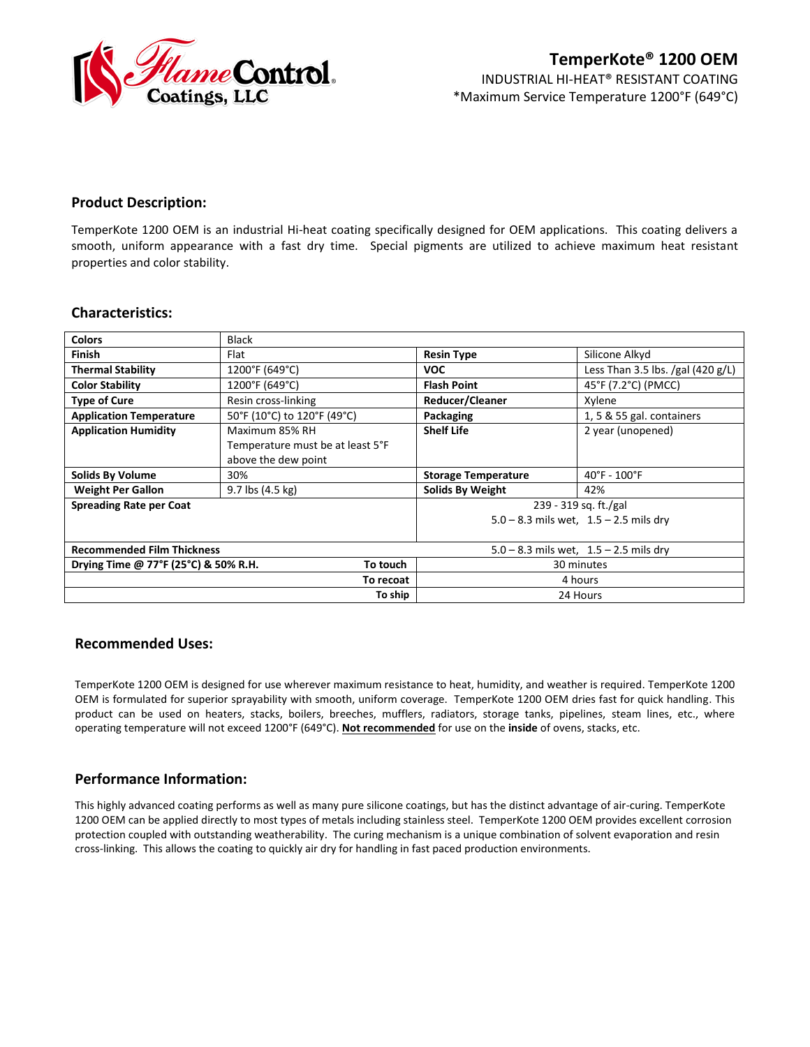

# **Product Description:**

TemperKote 1200 OEM is an industrial Hi-heat coating specifically designed for OEM applications. This coating delivers a smooth, uniform appearance with a fast dry time. Special pigments are utilized to achieve maximum heat resistant properties and color stability.

| <b>Colors</b>                                    | <b>Black</b>                     |                                            |                                   |
|--------------------------------------------------|----------------------------------|--------------------------------------------|-----------------------------------|
| <b>Finish</b>                                    | Flat                             | <b>Resin Type</b>                          | Silicone Alkyd                    |
| <b>Thermal Stability</b>                         | 1200°F (649°C)                   | <b>VOC</b>                                 | Less Than 3.5 lbs. /gal (420 g/L) |
| <b>Color Stability</b>                           | 1200°F (649°C)                   | <b>Flash Point</b>                         | 45°F (7.2°C) (PMCC)               |
| <b>Type of Cure</b>                              | Resin cross-linking              | Reducer/Cleaner                            | Xylene                            |
| <b>Application Temperature</b>                   | 50°F (10°C) to 120°F (49°C)      | Packaging                                  | 1, 5 & 55 gal. containers         |
| <b>Application Humidity</b>                      | Maximum 85% RH                   | <b>Shelf Life</b>                          | 2 year (unopened)                 |
|                                                  | Temperature must be at least 5°F |                                            |                                   |
|                                                  | above the dew point              |                                            |                                   |
| <b>Solids By Volume</b>                          | 30%                              | <b>Storage Temperature</b>                 | $40^{\circ}$ F - $100^{\circ}$ F  |
| <b>Weight Per Gallon</b>                         | $9.7$ lbs $(4.5 \text{ kg})$     | <b>Solids By Weight</b>                    | 42%                               |
| <b>Spreading Rate per Coat</b>                   |                                  | 239 - 319 sq. ft./gal                      |                                   |
|                                                  |                                  | $5.0 - 8.3$ mils wet, $1.5 - 2.5$ mils dry |                                   |
|                                                  |                                  |                                            |                                   |
| <b>Recommended Film Thickness</b>                |                                  | $5.0 - 8.3$ mils wet, $1.5 - 2.5$ mils dry |                                   |
| Drying Time @ 77°F (25°C) & 50% R.H.<br>To touch |                                  | 30 minutes                                 |                                   |
| To recoat                                        |                                  | 4 hours                                    |                                   |
|                                                  | To ship                          |                                            | 24 Hours                          |

# **Characteristics:**

# **Recommended Uses:**

TemperKote 1200 OEM is designed for use wherever maximum resistance to heat, humidity, and weather is required. TemperKote 1200 OEM is formulated for superior sprayability with smooth, uniform coverage. TemperKote 1200 OEM dries fast for quick handling. This product can be used on heaters, stacks, boilers, breeches, mufflers, radiators, storage tanks, pipelines, steam lines, etc., where operating temperature will not exceed 1200°F (649°C). **Not recommended** for use on the **inside** of ovens, stacks, etc.

# **Performance Information:**

This highly advanced coating performs as well as many pure silicone coatings, but has the distinct advantage of air-curing. TemperKote 1200 OEM can be applied directly to most types of metals including stainless steel. TemperKote 1200 OEM provides excellent corrosion protection coupled with outstanding weatherability. The curing mechanism is a unique combination of solvent evaporation and resin cross-linking. This allows the coating to quickly air dry for handling in fast paced production environments.